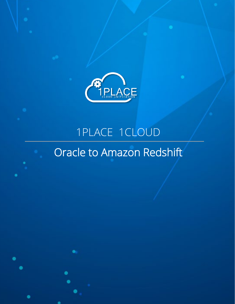

# 1PLACE 1CLOUD Oracle to Amazon Redshift

Copyright 202 2 @1Place | www.1place1cloud.com Page 1 | 14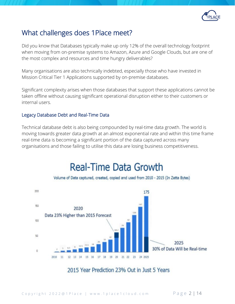

### What challenges does 1Place meet?

Did you know that Databases typically make up only 12% of the overall technology footprint when moving from on-premise systems to Amazon, Azure and Google Clouds, but are one of the most complex and resources and time hungry deliverables?

Many organisations are also technically indebted, especially those who have invested in Mission Critical Tier 1 Applications supported by on-premise databases.

Significant complexity arises when those databases that support these applications cannot be taken offline without causing significant operational disruption either to their customers or internal users.

#### Legacy Database Debt and Real-Time Data

Technical database debt is also being compounded by real-time data growth. The world is moving towards greater data growth at an almost exponential rate and within this time frame real-time data is becoming a significant portion of the data captured across many organisations and those failing to utilise this data are losing business competitiveness.

## **Real-Time Data Growth**





### 2015 Year Prediction 23% Out in Just 5 Years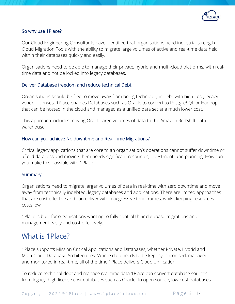

#### So why use 1Place?

Our Cloud Engineering Consultants have identified that organisations need industrial strength Cloud Migration Tools with the ability to migrate large volumes of active and real-time data held within their databases quickly and easily.

Organisations need to be able to manage their private, hybrid and multi-cloud platforms, with realtime data and not be locked into legacy databases.

#### Deliver Database freedom and reduce technical Debt

Organisations should be free to move away from being technically in debt with high-cost, legacy vendor licenses. 1Place enables Databases such as Oracle to convert to PostgreSQL or Hadoop that can be hosted in the cloud and managed as a unified data set at a much lower cost.

This approach includes moving Oracle large volumes of data to the Amazon RedShift data warehouse.

#### How can you achieve No downtime and Real-Time Migrations?

Critical legacy applications that are core to an organisation's operations cannot suffer downtime or afford data loss and moving them needs significant resources, investment, and planning. How can you make this possible with 1Place.

#### **Summary**

Organisations need to migrate larger volumes of data in real-time with zero downtime and move away from technically indebted, legacy databases and applications. There are limited approaches that are cost effective and can deliver within aggressive time frames, whilst keeping resources costs low.

1Place is built for organisations wanting to fully control their database migrations and management easily and cost effectively.

### What is 1Place?

1Place supports Mission Critical Applications and Databases, whether Private, Hybrid and Multi-Cloud Database Architectures. Where data needs to be kept synchronised, managed and monitored in real-time, all of the time 1Place delivers Cloud unification.

To reduce technical debt and manage real-time data 1Place can convert database sources from legacy, high license cost databases such as Oracle, to open source, low-cost databases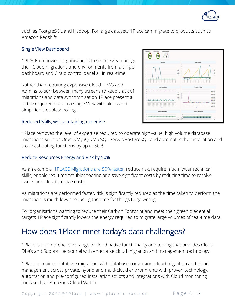

such as PostgreSQL and Hadoop. For large datasets 1Place can migrate to products such as Amazon Redshift.

#### Single View Dashboard

1PLACE empowers organisations to seamlessly manage their Cloud migrations and environments from a single dashboard and Cloud control panel all in real-time.

Rather than requiring expensive Cloud DBA's and Admins to surf between many screens to keep track of migrations and data synchronisation 1Place present all of the required data in a single View with alerts and simplified troubleshooting.

#### Reduced Skills, whilst retaining expertise

1Place removes the level of expertise required to operate high-value, high volume database migrations such as Oracle/MySQL/MS SQL Server/PostgreSQL and automates the installation and troubleshooting functions by up to 50%.

**WHERE** 

kokokokokoko arabiatzailea (

#### Reduce Resources Energy and Risk by 50%

As an example, [1PLACE Migrations are 50% faster,](https://1place1cloud.com/oracle-migrations-to-aws-with-1place/) reduce risk, require much lower technical skills, enable real-time troubleshooting and save significant costs by reducing time to resolve issues and cloud storage costs.

As migrations are performed faster, risk is significantly reduced as the time taken to perform the migration is much lower reducing the time for things to go wrong.

For organisations wanting to reduce their Carbon Footprint and meet their green credential targets 1Place significantly lowers the energy required to migrate large volumes of real-time data.

### How does 1Place meet today's data challenges?

1Place is a comprehensive range of cloud native functionality and tooling that provides Cloud Dba's and Support personnel with enterprise cloud migration and management technology.

1Place combines database migration, with database conversion, cloud migration and cloud management across private, hybrid and multi-cloud environments with proven technology, automation and pre-configured installation scripts and integrations with Cloud monitoring tools such as Amazons Cloud Watch.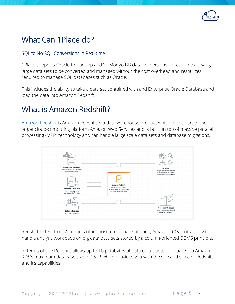

### What Can 1Place do?

#### SQL to No-SQL Conversions in Real-time

1Place supports Oracle to Hadoop and/or Mongo DB data conversions, in real-time allowing large data sets to be converted and managed without the cost overhead and resources required to manage SQL databases such as Oracle.

This includes the ability to take a data set contained with and Enterprise Oracle Database and load the data into Amazon Redshift.

### What is Amazon Redshift?

[Amazon Redshift](https://en.wikipedia.org/wiki/Amazon_Redshift) is Amazon Redshift is a data warehouse product which forms part of the larger cloud-computing platform Amazon Web Services and is built on top of massive parallel processing (MPP) technology and can handle large scale data sets and database migrations.



Redshift differs from Amazon's other hosted database offering, Amazon RDS, in its ability to handle analytic workloads on big data data sets stored by a column-oriented DBMS principle.

In terms of size Redshift allows up to 16 petabytes of data on a cluster compared to Amazon RDS's maximum database size of 16TB which provides you with the size and scale of Redshift and it's capabilities.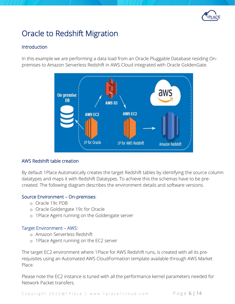

### Oracle to Redshift Migration

#### Introduction

In this example we are performing a data load from an Oracle Pluggable Database residing Onpremises to Amazon Serverless Redshift in AWS Cloud integrated with Oracle GoldenGate.



#### AWS Redshift table creation

By default 1Place Automatically creates the target Redshift tables by identifying the source column datatypes and maps it with Redshift Datatypes. To achieve this the schemas have to be precreated. The following diagram describes the environment details and software versions.

#### Source Environment – On-premises:

- o Oracle 19c PDB
- o Oracle Goldengate 19c for Oracle
- o 1Place Agent running on the Goldengate server

#### Target Environment – AWS:

- o Amazon Serverless Redshift
- o 1Place Agent running on the EC2 server

The target EC2 environment where 1Place for AWS Redshift runs, is created with all its prerequisites using an Automated AWS CloudFormation template available through AWS Market Place.

Please note the EC2 instance is tuned with all the performance kernel parameters needed for Network Packet transfers.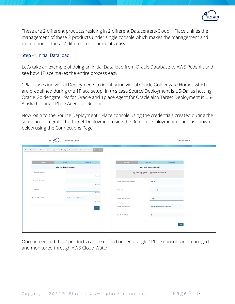

These are 2 different products residing in 2 different Datacenters/Cloud. 1Place unifies the management of these 2 products under single console which makes the management and monitoring of these 2 different environments easy.

#### Step -1 Initial Data load

Let's take an example of doing an initial Data load from Oracle Database to AWS Redshift and see how 1Place makes the entire process easy.

1Place uses individual Deployments to identify individual Oracle Goldengate Homes which are predefined during the 1Place setup. In this case Source Deployment is US-Dallas hosting Oracle Goldengate 19c for Oracle and 1place Agent for Oracle also Target Deployment is US-Alaska hosting 1Place Agent for Redshift.

Now login to the Source Deployment 1Place console using the credentials created during the setup and integrate the Target Deployment using the Remote Deployment option as shown below using the Connections Page.

| Add DB                  | Edit DB                           | Delete DB | <b>Add User</b>              | <b>Edit User</b>                                      | Delete User  |  |
|-------------------------|-----------------------------------|-----------|------------------------------|-------------------------------------------------------|--------------|--|
|                         | <b>Alter Database Credentials</b> |           |                              | <b>Alter OneP User Credentials</b>                    |              |  |
| * Credentialstore Alias |                                   | Required  |                              |                                                       |              |  |
| * Database UserName     |                                   | Required  | * Remote Deployment UserName | admin                                                 |              |  |
| * Password              |                                   | Required  | * Password                   |                                                       |              |  |
| ⊙ * Connect String      | hostname:dbport/dbservice         | Required  | * Remote OneP Protocol       | <b>HTTP</b>                                           | $\mathbf{r}$ |  |
|                         |                                   | Add       | * Remote OneP Host/IP        | <ec2instance ip="" public="" static=""></ec2instance> |              |  |
|                         |                                   |           | * Remote OneP Port           |                                                       |              |  |

Once integrated the 2 products can be unified under a single 1Place console and managed and monitored through AWS Cloud Watch.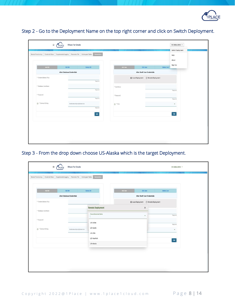

|                             |                                              |           |            |                                                 |             | About<br>Sign Out |
|-----------------------------|----------------------------------------------|-----------|------------|-------------------------------------------------|-------------|-------------------|
| Add DB                      | Edit DB<br><b>Alter Database Credentials</b> | Delete DB | Add User   | Edit User<br><b>Alter OneP User Credentials</b> | Delete User |                   |
|                             |                                              |           |            |                                                 |             |                   |
| * Credentialstore Alias     |                                              | Required  |            |                                                 |             |                   |
| * Database UserName         |                                              |           | * UserName |                                                 |             |                   |
|                             |                                              | Required  |            |                                                 |             | Required          |
| * Password                  |                                              |           | * Password |                                                 |             |                   |
|                             |                                              | Required  |            |                                                 |             | Required          |
| <sup>o</sup> Connect String | hostname:dbport/dbservice                    |           | O * Role   |                                                 |             | $\mathbf{v}$      |
|                             |                                              | Required  |            |                                                 |             |                   |
|                             |                                              | Add       |            |                                                 |             | Add               |
|                             |                                              |           |            |                                                 |             |                   |
|                             |                                              |           |            |                                                 |             |                   |

Step 2 - Go to the Deployment Name on the top right corner and click on Switch Deployment.

Step 3 - From the drop down choose US-Alaska which is the target Deployment.

| Add DB                      | Edit DB                           | Delete DB                | Add User                           | <b>Edit User</b>          | Delete User                   |  |  |
|-----------------------------|-----------------------------------|--------------------------|------------------------------------|---------------------------|-------------------------------|--|--|
|                             | <b>Alter Database Credentials</b> |                          | <b>Alter OneP User Credentials</b> |                           |                               |  |  |
| * Credentialstore Alias     |                                   |                          | © Local Deployment                 | ○ Remote Deployment       |                               |  |  |
| * Database UserName         |                                   | <b>Remote Deployment</b> |                                    | $\boldsymbol{\mathsf{X}}$ |                               |  |  |
|                             |                                   | Choose Deployment Name   |                                    | $\boldsymbol{\mathrm{v}}$ | Required                      |  |  |
| * Password                  |                                   |                          |                                    |                           |                               |  |  |
|                             |                                   | US-Dallas                |                                    |                           | Required                      |  |  |
| <sup>*</sup> Connect String | hostname:dbport/dbservice         | US-Austin                |                                    |                           | $\mathbf{v}$                  |  |  |
|                             |                                   | US-Ohio                  |                                    |                           |                               |  |  |
|                             |                                   | US-NewYork               |                                    |                           | $\operatorname{\mathsf{Add}}$ |  |  |
|                             |                                   | US-Alaska                |                                    |                           |                               |  |  |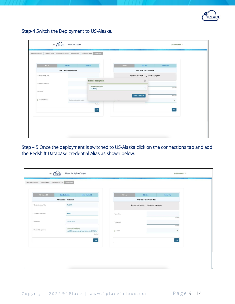

Step-4 Switch the Deployment to US-Alaska.

| Add DB                      | Edit DB                           | Delete DB                           | Add User                           | <b>Edit User</b>                          | Delete User  |  |  |
|-----------------------------|-----------------------------------|-------------------------------------|------------------------------------|-------------------------------------------|--------------|--|--|
|                             | <b>Alter Database Credentials</b> |                                     | <b>Alter OneP User Credentials</b> |                                           |              |  |  |
| * Credentialstore Alias     |                                   |                                     |                                    | © Local Deployment<br>O Remote Deployment |              |  |  |
| * Database UserName         |                                   | <b>Remote Deployment</b>            |                                    | $\boldsymbol{\mathsf{x}}$                 |              |  |  |
|                             |                                   | Choose Deployment Name<br>US-Alaska |                                    | $\mathbf{v}$                              | Required     |  |  |
| * Password                  |                                   |                                     |                                    |                                           |              |  |  |
|                             |                                   |                                     |                                    | <b>Switch Deployment</b>                  | Required     |  |  |
| <sup>+</sup> Connect String | hostname:dbport/dbservice         |                                     | $V = 1$                            |                                           | $\mathbf{v}$ |  |  |
|                             |                                   | Required                            |                                    |                                           |              |  |  |
|                             |                                   | Add                                 |                                    |                                           | Add          |  |  |

Step – 5 Once the deployment is switched to US-Alaska click on the connections tab and add the Redshift Database credential Alias as shown below.

| <b>Add Credentials</b>  | <b>Edit Credentials</b><br>Delete Credentials<br><b>Add Database Credentials</b> | Add User                  | Delete User<br><b>Edit User</b><br><b>Alter OneP User Credentials</b> |  |
|-------------------------|----------------------------------------------------------------------------------|---------------------------|-----------------------------------------------------------------------|--|
| * Credentialstore Alias | Redshift                                                                         | <b>O</b> Local Deployment | O Remote Deployment                                                   |  |
| * Database UserName     | admin                                                                            | * UserName                |                                                                       |  |
| * Password              |                                                                                  | * Password                | Required                                                              |  |
| * Redshift Endpoint Url | hostname:dbport/dbname<br>.redshift-serverless.amazonaws.com:5439/dev            | O * Role                  | Required<br>$\checkmark$                                              |  |
|                         | Required<br>Add                                                                  |                           | Add                                                                   |  |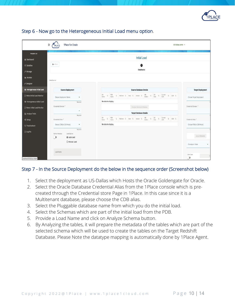

|                                    | $\equiv$<br>1Place For Oracle<br><b>TPLACE</b>               | US-Dallas admin v                                                                                                                                                                   |
|------------------------------------|--------------------------------------------------------------|-------------------------------------------------------------------------------------------------------------------------------------------------------------------------------------|
| Navigation List                    |                                                              | <b>Initial Load</b>                                                                                                                                                                 |
| <b>2</b> Dashboard                 |                                                              |                                                                                                                                                                                     |
| X Dataflow                         | $\leftarrow$ Back                                            | 0                                                                                                                                                                                   |
| $\n  F Manage$                     |                                                              | <b>DataSource</b>                                                                                                                                                                   |
| Monitor                            | DataSource                                                   |                                                                                                                                                                                     |
| <b><i>/ Designer</i></b>           |                                                              |                                                                                                                                                                                     |
| A Hetrogeneous Initial Load        | <b>Source Deployment</b>                                     | <b>Source Database Details</b><br><b>Target Deployment</b>                                                                                                                          |
| R Hetro Initial Load Monitor       | Choose Deployment Name<br>$\mathbf v$                        | DB ti PDB ti Platform ti Host ti Version ti DB ti DB ti Current ti CDB ti<br>Name ti Name ti Platform ti Host ti Version ti <u>Edition</u> ti DB ti SCN<br>Choose Target Deployment |
| A Homogeneous Initial Load         | Required                                                     | No data to display.                                                                                                                                                                 |
| <b>B</b> Homo Initial Load Monitor | Credential Domain *                                          | Credential Domain<br>Analyze Selected Schemas                                                                                                                                       |
| <b>Ill</b> Analyze Trails          | ×<br>Required                                                | <b>Target Database Details</b>                                                                                                                                                      |
| $Q_6^6$ Setup                      | Credential Alias *                                           | DB<br>Name<br>11 PDB 11 Platform 11 Host 11 Version 11 DB 11 DB 11 Criment 11 CDB 11<br>Credential Alias *                                                                          |
| Q Troubleshoot                     | Choose CDB(in CDB Mode)<br>$\overline{\mathbf{v}}$           | No data to display.<br>Choose PDB(in CDB Mode)                                                                                                                                      |
| <b>B</b> LogFile                   | Required                                                     |                                                                                                                                                                                     |
|                                    | Load Options<br>Gather Metadata<br>$\mathbb{D}$<br>Auto Load | Apply Metadata                                                                                                                                                                      |
|                                    | O Manual Load                                                |                                                                                                                                                                                     |
|                                    |                                                              | Checkpoint Table                                                                                                                                                                    |
|                                    | Load Name                                                    | Defer Start                                                                                                                                                                         |
| localhost:8000/?ojr=initial#       |                                                              | ு                                                                                                                                                                                   |

#### Step 6 - Now go to the Heterogeneous Initial Load menu option.

#### Step 7 - In the Source Deployment do the below in the sequence order (Screenshot below)

- 1. Select the deployment as US-Dallas which Hosts the Oracle Goldengate for Oracle.
- 2. Select the Oracle Database Credential Alias from the 1Place console which is precreated through the Credential store Page in 1Place. In this case since it is a Multitenant database, please choose the CDB alias.
- 3. Select the Pluggable database name from which you do the initial load.
- 4. Select the Schemas which are part of the initial load from the PDB.
- 5. Provide a Load Name and click on Analyze Schema button.
- 6. By Analyzing the tables, it will prepare the metadata of the tables which are part of the selected schema which will be used to create the tables on the Target Redshift Database. Please Note the datatype mapping is automatically done by 1Place Agent.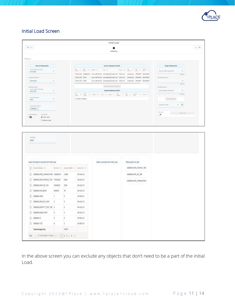

#### Initial Load Screen

| $\leftarrow$ link                                                                 |          |                        |                              | 0                                                                                                                                                                                                                                                                                                                     |                                                                                                                                    |                                   | $1 - 1$ |
|-----------------------------------------------------------------------------------|----------|------------------------|------------------------------|-----------------------------------------------------------------------------------------------------------------------------------------------------------------------------------------------------------------------------------------------------------------------------------------------------------------------|------------------------------------------------------------------------------------------------------------------------------------|-----------------------------------|---------|
|                                                                                   |          |                        |                              | SataSource                                                                                                                                                                                                                                                                                                            |                                                                                                                                    |                                   |         |
| Galabayse                                                                         |          |                        |                              |                                                                                                                                                                                                                                                                                                                       |                                                                                                                                    |                                   |         |
|                                                                                   |          |                        |                              |                                                                                                                                                                                                                                                                                                                       |                                                                                                                                    |                                   |         |
| <b>Seaton Deployment</b><br>Drona Designant Garre                                 |          |                        | $\frac{100}{1000}$           | Source Database Details<br>$\frac{P(0)}{P_{\text{max}}} \quad \text{Si} \quad \text{Puler:} \quad \text{Si} \qquad \text{rise:} \quad \text{S}.$                                                                                                                                                                      | $\frac{D\theta}{\theta m} = \frac{\pi}{2} - \frac{Pm\, \text{mod}}{4 \pi m} = \frac{\pi}{2}$<br>$\frac{10}{100}$ t<br>Version (S.) | <b>Target Deployment</b>          |         |
| US-Dalux                                                                          | ٠        |                        |                              | DECLORE PORTSERO Linux (66-68-68) echappid@0.00%.net 19.0.0.0.0                                                                                                                                                                                                                                                       | Enterprise PROMARY BR236DB3                                                                                                        | Choose Target Deployment<br>٠     |         |
| Orelandal Domain                                                                  |          |                        | ORDLODG PORT                 | Linux di6 64-bit echospos350.ddm.net 19.0.0.0.0                                                                                                                                                                                                                                                                       | Enterprise PRIMARY 88236083                                                                                                        | Crainvilla Grando, 1              |         |
| OnFrenhe                                                                          |          |                        | ORCLCOB POB2                 | Linux 656 64-bit echnopos350.com.net 19.0.0.0.0 Enterprise PRIMARY 88236683                                                                                                                                                                                                                                           |                                                                                                                                    | ٠<br>Patieting                    |         |
| Delettat Mac *                                                                    |          |                        |                              | Andyte Selected Schones                                                                                                                                                                                                                                                                                               |                                                                                                                                    | Orderstalking *                   |         |
| Drawer CSRA CDR Midel<br>000-008                                                  | ٠        |                        | Choose PDB In COR Model<br>٠ |                                                                                                                                                                                                                                                                                                                       |                                                                                                                                    |                                   |         |
| Cheras FOB history                                                                |          |                        |                              | $\frac{19}{10000} - 5 - \frac{198}{1000} - 5 - 98888 - 5 - 888 - 5 - 10888 - 5 - \frac{19}{1000} - 5 - \frac{19}{100} - 5 - \frac{19888}{100} - 5 - \frac{19888}{100} - 5 - \frac{19888}{100} - 5 - \frac{19888}{100} - 5 - \frac{19888}{100} - 5 - \frac{19888}{100} - 5 - \frac{19888}{100} - 5 - \frac{19888}{100$ |                                                                                                                                    | <b>Faracired</b>                  |         |
| PDBY                                                                              | ×        |                        | No date to display.          |                                                                                                                                                                                                                                                                                                                       |                                                                                                                                    | Araly Metabolis                   |         |
| <b>Draine Balleria Harry</b>                                                      |          |                        |                              |                                                                                                                                                                                                                                                                                                                       |                                                                                                                                    | Checkpoint Table                  |         |
| GSMDBA K                                                                          |          |                        |                              |                                                                                                                                                                                                                                                                                                                       |                                                                                                                                    | Delle Start                       |         |
|                                                                                   |          |                        |                              |                                                                                                                                                                                                                                                                                                                       |                                                                                                                                    | <b>District</b><br>$\overline{p}$ |         |
| <b>8 Ads Ltd</b><br>C Manual Load                                                 |          |                        |                              |                                                                                                                                                                                                                                                                                                                       |                                                                                                                                    |                                   |         |
| Lout Name<br>AIris.                                                               |          |                        |                              |                                                                                                                                                                                                                                                                                                                       |                                                                                                                                    |                                   |         |
|                                                                                   |          |                        |                              |                                                                                                                                                                                                                                                                                                                       |                                                                                                                                    |                                   |         |
|                                                                                   |          |                        |                              | lables to exclude from initial Load                                                                                                                                                                                                                                                                                   | Tables qualify for spilt.                                                                                                          |                                   |         |
| [] Iclana latin hans []                                                           |          | hallon 1   Jangclin/Wi | Andors First 1               |                                                                                                                                                                                                                                                                                                                       | GENDBAGWR_FINANCE_TXN                                                                                                              |                                   |         |
| C GSMDBAGWR_TRAVISACTION 122828373                                                |          | 12391                  | 09-AUG-21                    |                                                                                                                                                                                                                                                                                                                       | GENOBAGINK_HR_TXN                                                                                                                  |                                   |         |
| C GSMDBA.DWR_FINANCE_TXIN 77000000                                                |          | 6348                   | 09-AUG-21                    |                                                                                                                                                                                                                                                                                                                       | GENOBA GIVE TRANSACTION                                                                                                            |                                   |         |
| C GWDBADWRJRJW                                                                    | 23649031 | 1554                   | 09-AUG-21                    |                                                                                                                                                                                                                                                                                                                       |                                                                                                                                    |                                   |         |
| COMDEA POS_WON<br>0                                                               | 688000   | 73                     | 09-AU0-21                    |                                                                                                                                                                                                                                                                                                                       |                                                                                                                                    |                                   |         |
| O.<br>GSMDBA.ASSD                                                                 | 1.       | o                      | 19-AUG-71                    |                                                                                                                                                                                                                                                                                                                       |                                                                                                                                    |                                   |         |
| C OSMOBADWA PIC, DATA                                                             | 0        | 0                      | 09-AUG-21                    |                                                                                                                                                                                                                                                                                                                       |                                                                                                                                    |                                   |         |
| Select the tables to exclude from Initali Load<br>0.<br>GSMDBAJODATITY_TEST_TAB 2 |          | Ü.                     | 09-AUG-21                    |                                                                                                                                                                                                                                                                                                                       |                                                                                                                                    |                                   |         |
| D COMOBILIANAJUTEST                                                               | Ŭ.       | D.                     | 09-AUG-21                    |                                                                                                                                                                                                                                                                                                                       |                                                                                                                                    |                                   |         |
| D GSMDBATE                                                                        | Ù.       | b                      | 10-NOV-21                    |                                                                                                                                                                                                                                                                                                                       |                                                                                                                                    |                                   |         |
| D GSMDBATEST                                                                      | b.       | D.                     | 05-N0V-21                    |                                                                                                                                                                                                                                                                                                                       |                                                                                                                                    |                                   |         |

In the above screen you can exclude any objects that don't need to be a part of the initial Load.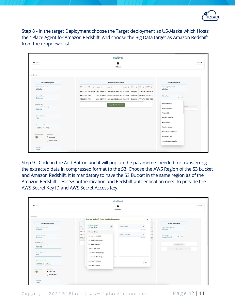

Step 8 - In the target Deployment choose the Target deployment as US-Alaska which Hosts the 1Place Agent for Amazon Redshift. And choose the Big Data target as Amazon Redshift from the dropdown list.

|                                                        |                          |              |  |                                         | <b>Initial Load</b>                                                                                                    |            |                                                                                                                                                                                                                                                                                                                                                                                          |  |                  |                                            |
|--------------------------------------------------------|--------------------------|--------------|--|-----------------------------------------|------------------------------------------------------------------------------------------------------------------------|------------|------------------------------------------------------------------------------------------------------------------------------------------------------------------------------------------------------------------------------------------------------------------------------------------------------------------------------------------------------------------------------------------|--|------------------|--------------------------------------------|
| $\leftarrow$ Back<br>0<br><b>DataSource</b>            |                          |              |  |                                         |                                                                                                                        |            |                                                                                                                                                                                                                                                                                                                                                                                          |  |                  |                                            |
| DataSource                                             |                          |              |  |                                         |                                                                                                                        |            |                                                                                                                                                                                                                                                                                                                                                                                          |  |                  |                                            |
| <b>Source Deployment</b>                               |                          |              |  |                                         | <b>Source Database Details</b>                                                                                         |            |                                                                                                                                                                                                                                                                                                                                                                                          |  |                  | <b>Target Deployment</b>                   |
| Choose Deployment Name<br>US-Dallas                    | ٠                        | DB<br>Name   |  | $11$ $^{PDB}_{Name}$ $12$ Platform $12$ | Host 11                                                                                                                | Version 11 | $\begin{tabular}{ c c c c c c c c } \hline \rule{0pt}{2.5ex} B & & \rule{0pt}{2.5ex} B & \rule{0pt}{2.5ex} B & \rule{0pt}{2.5ex} Current & \rule{0pt}{2.5ex} B & \rule{0pt}{2.5ex} Curent & \rule{0pt}{2.5ex} B & \rule{0pt}{2.5ex} D & \rule{0pt}{2.5ex} D & \rule{0pt}{2.5ex} D & \rule{0pt}{2.5ex} D & \rule{0pt}{2.5ex} D & \rule{0pt}{2.5ex} D & \rule{0pt}{2.5ex} D & \rule{0pt}{$ |  |                  | Choose Target Deployment<br>٠<br>US-Alaska |
| Credential Domain                                      |                          | ORCLCDB PDB1 |  |                                         | ORCLCDB PDB\$SEED Linux x86 64-bit echoapps360.ddns.net 19.0.0.0.0<br>Linux x86 64-bit echoapps360.ddns.net 19.0.0.0.0 |            | Enterprise PRIMARY 96204505<br>Enterprise                                                                                                                                                                                                                                                                                                                                                |  | PRIMARY 96204505 | <b>BigData Targets</b>                     |
| OnPremise                                              |                          | ORCLCDB PDB2 |  |                                         | Linux x86 64-bit echoapps360.ddns.net 19.0.0.0.0                                                                       |            | Enterprise PRIMARY 96204505                                                                                                                                                                                                                                                                                                                                                              |  |                  | Amazon Kinesis                             |
| Credential Alias<br>Choose CDB(in CDB Mode)<br>OGG-CDB | $\overline{\phantom{a}}$ |              |  |                                         | <b>Analyze Selected Schemas</b>                                                                                        |            |                                                                                                                                                                                                                                                                                                                                                                                          |  |                  | ate Job<br>Amazon Redshift                 |
| Choose PDB Name<br>PDB1                                | ٠                        |              |  |                                         |                                                                                                                        |            |                                                                                                                                                                                                                                                                                                                                                                                          |  |                  | Amazon S3<br>Apache Cassandra              |
| Choose Schema Name<br>V500 ×<br>GSMDBA ×               |                          |              |  |                                         |                                                                                                                        |            |                                                                                                                                                                                                                                                                                                                                                                                          |  |                  | Apache Kafka<br>Apache Hadoop              |
| Load Options<br>Gather Metadata<br>Auto Load           |                          |              |  |                                         |                                                                                                                        |            |                                                                                                                                                                                                                                                                                                                                                                                          |  |                  | Azure Data Lake Storage<br>Azure Event Hub |
| O Manual Load                                          |                          |              |  |                                         |                                                                                                                        |            |                                                                                                                                                                                                                                                                                                                                                                                          |  |                  | Azure Synapse Analytics                    |
| Load Name<br>ZAQQ                                      |                          |              |  |                                         |                                                                                                                        |            |                                                                                                                                                                                                                                                                                                                                                                                          |  |                  |                                            |

Step 9 - Click on the Add Button and it will pop up the parameters needed for transferring the extracted data in compressed format to the S3. Choose the AWS Region of the S3 bucket and Amazon Redshift. It is mandatory to have the S3 Bucket in the same region as of the Amazon Redshift. For S3 authentication and Redshift authentication need to provide the AWS Secret Key ID and AWS Secret Access Key.

|                                                               |                          |                            |                                                                    | <b>Initial Load</b> |                          |                   | Next >                                          |  |  |  |
|---------------------------------------------------------------|--------------------------|----------------------------|--------------------------------------------------------------------|---------------------|--------------------------|-------------------|-------------------------------------------------|--|--|--|
| $\leftarrow$ Back<br>$\bullet$<br>DataSource                  |                          |                            |                                                                    |                     |                          |                   |                                                 |  |  |  |
| DataSource                                                    |                          |                            | <b>Amazon Redshift Event Handler Parameters</b>                    |                     | $\times$                 |                   |                                                 |  |  |  |
| <b>Source Deployment</b>                                      |                          |                            | Choose AWS Region                                                  |                     |                          |                   | <b>Target Deployment</b>                        |  |  |  |
| Choose Deployment Name<br>US-Dallas                           | $\sim$                   | DB<br>Name                 | $\mathbf{v}$<br>US East (Ohio)                                     | Redshift Alias      | $\mathbf{v}$<br>Required | $11$              | Choose Target Deployment<br>$\sim$<br>US-Alaska |  |  |  |
| Credential Domain<br>OnPremise                                |                          | ORCLCD<br>ORCLCI<br>ORCLCD | US East (Ohio)<br>US East (N. Virginia)<br>US West (N. California) | Apply Parallelism   | $\mathbf{w}$<br>Required | 505<br>50E<br>505 | BigData Targets<br>Amazon Redshift              |  |  |  |
| Credential Alias<br>Choose CDB(in CDB Mode)<br>OGG-CDB        | $\overline{\phantom{a}}$ |                            | US West (Oregon)<br>Africa (Cape Town)                             |                     |                          |                   | Apply Metadata<br>Create Job                    |  |  |  |
| Choose PDB Name<br>PDB1                                       | $\overline{\phantom{a}}$ |                            | Asia Pacific (Hong Kong)<br>Asia Pacific (Mumbai)                  |                     |                          |                   |                                                 |  |  |  |
| Choose Schema Name<br>GSMDBA × V500 ×                         |                          |                            | Asia Pacific (Osaka)<br>Asia Pacific (Seoul)                       |                     | OK                       |                   |                                                 |  |  |  |
| Load Options<br>Gather Metadata<br>Auto Load<br>O Manual Load |                          |                            |                                                                    |                     |                          |                   |                                                 |  |  |  |
| Load Name<br>ZAQQ                                             |                          |                            |                                                                    |                     |                          |                   |                                                 |  |  |  |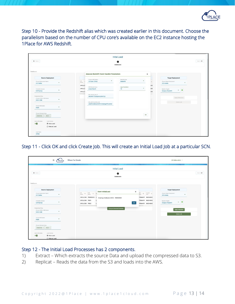

Step 10 - Provide the Redshift alias which was created earlier in this document. Choose the parallelism based on the number of CPU core's available on the EC2 instance hosting the 1Place for AWS Redshift.

|                                                               |                            |                                                         | <b>Initial Load</b>        |                       |                   |                                            |
|---------------------------------------------------------------|----------------------------|---------------------------------------------------------|----------------------------|-----------------------|-------------------|--------------------------------------------|
| $\leftarrow$ Back                                             |                            |                                                         | $\bullet$<br>DataSource    |                       |                   | Next →                                     |
| DataSource                                                    |                            | <b>Amazon Redshift Event Handler Parameters</b>         |                            | $\times$              |                   |                                            |
| <b>Source Deployment</b>                                      |                            |                                                         |                            |                       |                   | <b>Target Deployment</b>                   |
| Choose Deployment Name<br>٠<br>US-Dallas                      | DB<br>Name                 | Choose AWS Region<br>$\star$<br>US East (Ohio)          | Redshift Alias<br>Redshift | $\check{\phantom{a}}$ | 71                | Choose Target Deployment<br>٠<br>US-Alaska |
| Credential Domain<br>٠<br>OnPremise                           | ORCLCI<br>ORCLCI<br>ORCLCI | AWS Bucket Name<br>aneeshtest3                          | Apply Parallelism<br>10    | $\;$                  | 505<br>50E<br>505 | BigData Targets<br>Amazon Redshift         |
| Credential Alias<br>Choose CDB(in CDB Mode)<br>٠              |                            | aws_access_key_id<br>AKIAWP7TEAQAYHE3WTED               |                            |                       |                   | Apply Metadata                             |
| OGG-CDB<br>Choose PDB Name<br>٠<br>PDB1                       |                            | aws_secret_access_key<br>>/Q4PmX/bMuCKIPcVc9a8qpXFbUkKW |                            |                       |                   | Create Job                                 |
| Choose Schema Name<br>GSMDBA × V500 ×                         |                            |                                                         |                            | OK                    |                   |                                            |
| Load Options<br>Gather Metadata<br>Auto Load<br>O Manual Load |                            |                                                         |                            |                       |                   |                                            |
| Load Name<br>ZAQQ                                             |                            |                                                         |                            |                       |                   |                                            |

Step 11 - Click OK and click Create Job. This will create an Initial Load Job at a particular SCN.

| $\equiv$<br><b>PLACE</b>                                               | 1Place For Oracle                                                                                                                         | US-Dallas admin -                                                                                                                                                                                               |
|------------------------------------------------------------------------|-------------------------------------------------------------------------------------------------------------------------------------------|-----------------------------------------------------------------------------------------------------------------------------------------------------------------------------------------------------------------|
| $\leftarrow$ Back                                                      | <b>Initial Load</b><br>$\bullet$                                                                                                          | Next $\rightarrow$                                                                                                                                                                                              |
|                                                                        | <b>DataSource</b>                                                                                                                         |                                                                                                                                                                                                                 |
| DataSource<br><b>Source Deployment</b>                                 | <b>Start InitialLoad</b>                                                                                                                  | <b>Target Deployment</b>                                                                                                                                                                                        |
| Choose Deployment Name<br>٠<br>US-Dallas                               | $\times$<br>DB<br>Name<br>PDB<br>Name<br>11<br>$\uparrow\downarrow$<br>bi<br>ORCLCDB PDB\$SEED L<br>Creating intialload at SCN - 96204848 | DB<br>$\begin{tabular}{ccccc} $\uparrow \text{L} & \text{Current} & $\uparrow \text{L}$\\ $1$ & $\text{SCN}$ & $\text{L}$\\ \end{tabular}$<br>Choose Target Deployment<br>Role<br>US-Alaska<br>PRIMARY 96204505 |
| Credential Domain<br>OnPremise                                         | ORCLCDB PDB1<br>OK<br>ORCLCDB PDB2                                                                                                        | PRIMARY 96204505<br>BigData Targets<br>Amazon Redshift<br>PRIMARY 96204505                                                                                                                                      |
| Credential Alias<br>Choose CDB(in CDB Mode)<br>$\checkmark$<br>OGG-CDB | <b>Analyze Selected Schemas</b>                                                                                                           | <b>Apply Metadata</b><br><b>Create Job</b>                                                                                                                                                                      |
| Choose PDB Name<br>$\overline{\phantom{a}}$<br>PDB1                    |                                                                                                                                           |                                                                                                                                                                                                                 |
| Choose Schema Name<br>V500 ×<br>GSMDBA ×                               |                                                                                                                                           |                                                                                                                                                                                                                 |
| Load Options<br>Gather Metadata<br>Auto Load<br>O Manual Load          |                                                                                                                                           |                                                                                                                                                                                                                 |

#### Step 12 - The Initial Load Processes has 2 components.

- 1) Extract Which extracts the source Data and upload the compressed data to S3.
- 2) Replicat Reads the data from the S3 and loads into the AWS.